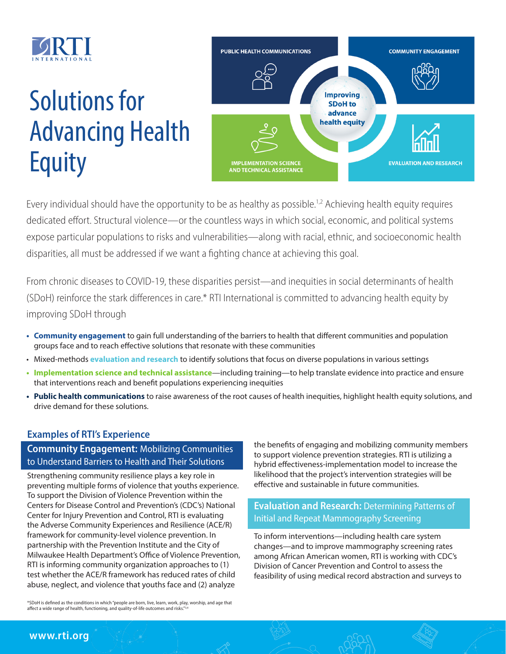

# Solutions for Advancing Health **Equity**



Every individual should have the opportunity to be as healthy as possible.<sup>1,2</sup> Achieving health equity requires dedicated effort. Structural violence—or the countless ways in which social, economic, and political systems expose particular populations to risks and vulnerabilities—along with racial, ethnic, and socioeconomic health disparities, all must be addressed if we want a fighting chance at achieving this goal.

From chronic diseases to COVID-19, these disparities persist—and inequities in social determinants of health (SDoH) reinforce the stark differences in care.\* RTI International is committed to advancing health equity by improving SDoH through

- **• Community engagement** to gain full understanding of the barriers to health that different communities and population groups face and to reach effective solutions that resonate with these communities
- Mixed-methods **evaluation and research** to identify solutions that focus on diverse populations in various settings
- **• Implementation science and technical assistance**—including training—to help translate evidence into practice and ensure that interventions reach and benefit populations experiencing inequities
- **• Public health communications** to raise awareness of the root causes of health inequities, highlight health equity solutions, and drive demand for these solutions.

## **Examples of RTI's Experience**

### **Community Engagement:** Mobilizing Communities to Understand Barriers to Health and Their Solutions

Strengthening community resilience plays a key role in preventing multiple forms of violence that youths experience. To support the Division of Violence Prevention within the Centers for Disease Control and Prevention's (CDC's) National Center for Injury Prevention and Control, RTI is evaluating the Adverse Community Experiences and Resilience (ACE/R) framework for community-level violence prevention. In partnership with the Prevention Institute and the City of Milwaukee Health Department's Office of Violence Prevention, RTI is informing community organization approaches to (1) test whether the ACE/R framework has reduced rates of child abuse, neglect, and violence that youths face and (2) analyze

\*SDoH is defined as the conditions in which "people are born, live, learn, work, play, worship, and age that affect a wide range of health, functioning, and quality-of-life outcomes and risks."

the benefits of engaging and mobilizing community members to support violence prevention strategies. RTI is utilizing a hybrid effectiveness-implementation model to increase the likelihood that the project's intervention strategies will be effective and sustainable in future communities.

## **Evaluation and Research:** Determining Patterns of Initial and Repeat Mammography Screening

To inform interventions—including health care system changes—and to improve mammography screening rates among African American women, RTI is working with CDC's Division of Cancer Prevention and Control to assess the feasibility of using medical record abstraction and surveys to